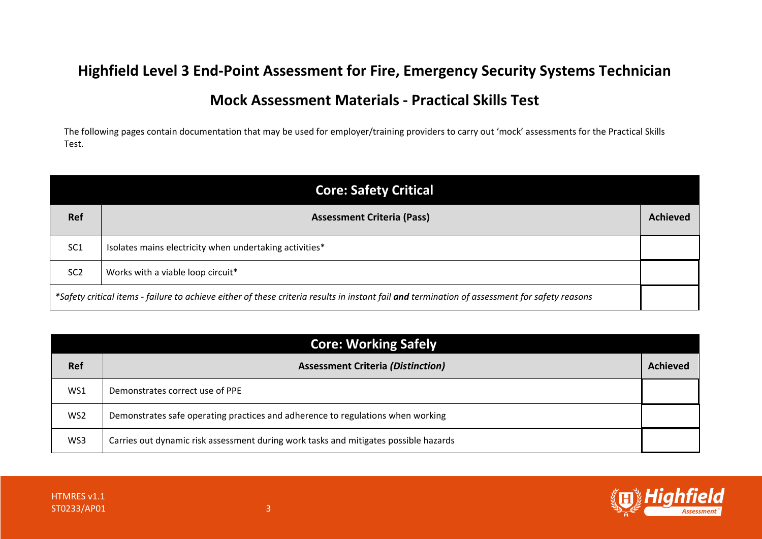## **Highfield Level 3 End-Point Assessment for Fire, Emergency Security Systems Technician**

## **Mock Assessment Materials - Practical Skills Test**

The following pages contain documentation that may be used for employer/training providers to carry out 'mock' assessments for the Practical Skills Test.

| <b>Core: Safety Critical</b>                                                                                                                  |                                                         |                 |
|-----------------------------------------------------------------------------------------------------------------------------------------------|---------------------------------------------------------|-----------------|
| <b>Ref</b>                                                                                                                                    | <b>Assessment Criteria (Pass)</b>                       | <b>Achieved</b> |
| SC <sub>1</sub>                                                                                                                               | Isolates mains electricity when undertaking activities* |                 |
| SC <sub>2</sub>                                                                                                                               | Works with a viable loop circuit*                       |                 |
| *Safety critical items - failure to achieve either of these criteria results in instant fail and termination of assessment for safety reasons |                                                         |                 |

| <b>Core: Working Safely</b> |                                                                                      |                 |
|-----------------------------|--------------------------------------------------------------------------------------|-----------------|
| <b>Ref</b>                  | <b>Assessment Criteria (Distinction)</b>                                             | <b>Achieved</b> |
| WS1                         | Demonstrates correct use of PPE                                                      |                 |
| WS <sub>2</sub>             | Demonstrates safe operating practices and adherence to regulations when working      |                 |
| WS3                         | Carries out dynamic risk assessment during work tasks and mitigates possible hazards |                 |

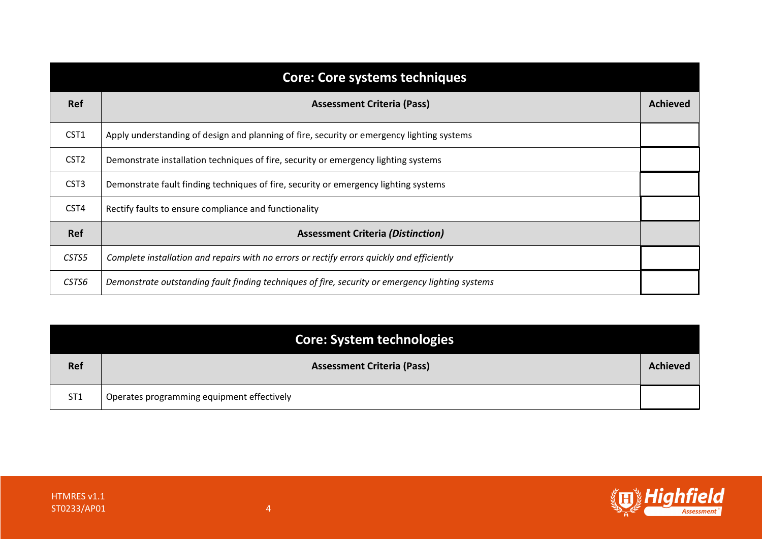|                  | <b>Core: Core systems techniques</b>                                                             |                 |
|------------------|--------------------------------------------------------------------------------------------------|-----------------|
| Ref              | <b>Assessment Criteria (Pass)</b>                                                                | <b>Achieved</b> |
| CST1             | Apply understanding of design and planning of fire, security or emergency lighting systems       |                 |
| CST <sub>2</sub> | Demonstrate installation techniques of fire, security or emergency lighting systems              |                 |
| CST <sub>3</sub> | Demonstrate fault finding techniques of fire, security or emergency lighting systems             |                 |
| CST4             | Rectify faults to ensure compliance and functionality                                            |                 |
| Ref              | <b>Assessment Criteria (Distinction)</b>                                                         |                 |
| CSTS5            | Complete installation and repairs with no errors or rectify errors quickly and efficiently       |                 |
| CSTS6            | Demonstrate outstanding fault finding techniques of fire, security or emergency lighting systems |                 |

|                 | Core: System technologies                  |                 |
|-----------------|--------------------------------------------|-----------------|
| <b>Ref</b>      | <b>Assessment Criteria (Pass)</b>          | <b>Achieved</b> |
| ST <sub>1</sub> | Operates programming equipment effectively |                 |

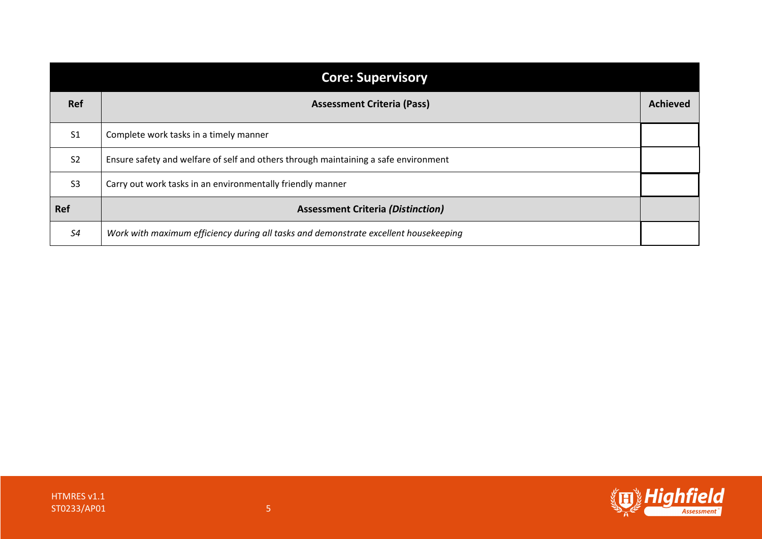| <b>Core: Supervisory</b> |                                                                                      |                 |
|--------------------------|--------------------------------------------------------------------------------------|-----------------|
| <b>Ref</b>               | <b>Assessment Criteria (Pass)</b>                                                    | <b>Achieved</b> |
| S <sub>1</sub>           | Complete work tasks in a timely manner                                               |                 |
| S <sub>2</sub>           | Ensure safety and welfare of self and others through maintaining a safe environment  |                 |
| S <sub>3</sub>           | Carry out work tasks in an environmentally friendly manner                           |                 |
| <b>Ref</b>               | <b>Assessment Criteria (Distinction)</b>                                             |                 |
| S4                       | Work with maximum efficiency during all tasks and demonstrate excellent housekeeping |                 |